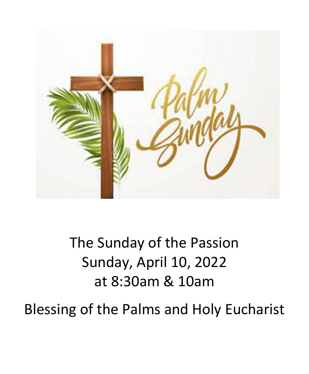

The Sunday of the Passion Sunday, April 10, 2022 at 8:30am & 10am

Blessing of the Palms and Holy Eucharist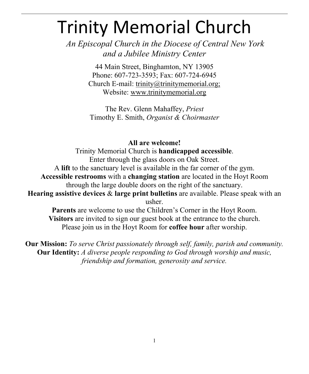# Trinity Memorial Church *An Episcopal Church in the Diocese of Central New York*

*and a Jubilee Ministry Center*

44 Main Street, Binghamton, NY 13905 Phone: 607-723-3593; Fax: 607-724-6945 Church E-mail: trinity@trinitymemorial.org; Website: www.trinitymemorial.org

The Rev. Glenn Mahaffey, *Priest* Timothy E. Smith, *Organist & Choirmaster* 

#### **All are welcome!**

Trinity Memorial Church is **handicapped accessible**. Enter through the glass doors on Oak Street. A **lift** to the sanctuary level is available in the far corner of the gym. **Accessible restrooms** with a **changing station** are located in the Hoyt Room through the large double doors on the right of the sanctuary. **Hearing assistive devices** & **large print bulletins** are available. Please speak with an usher. **Parents** are welcome to use the Children's Corner in the Hoyt Room.

**Visitors** are invited to sign our guest book at the entrance to the church. Please join us in the Hoyt Room for **coffee hour** after worship.

**Our Mission:** *To serve Christ passionately through self, family, parish and community.*  **Our Identity:** *A diverse people responding to God through worship and music, friendship and formation, generosity and service.*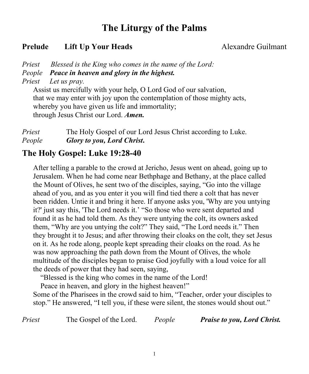## **The Liturgy of the Palms**

#### **Prelude** Lift Up Your Heads Alexandre Guilmant

*Priest Blessed is the King who comes in the name of the Lord: People Peace in heaven and glory in the highest. Priest Let us pray.* Assist us mercifully with your help, O Lord God of our salvation,

that we may enter with joy upon the contemplation of those mighty acts, whereby you have given us life and immortality; through Jesus Christ our Lord. *Amen.*

*Priest* The Holy Gospel of our Lord Jesus Christ according to Luke. *People Glory to you, Lord Christ***.**

#### **The Holy Gospel: Luke 19:28-40**

After telling a parable to the crowd at Jericho, Jesus went on ahead, going up to Jerusalem. When he had come near Bethphage and Bethany, at the place called the Mount of Olives, he sent two of the disciples, saying, "Go into the village ahead of you, and as you enter it you will find tied there a colt that has never been ridden. Untie it and bring it here. If anyone asks you, 'Why are you untying it?' just say this, 'The Lord needs it.' "So those who were sent departed and found it as he had told them. As they were untying the colt, its owners asked them, "Why are you untying the colt?" They said, "The Lord needs it." Then they brought it to Jesus; and after throwing their cloaks on the colt, they set Jesus on it. As he rode along, people kept spreading their cloaks on the road. As he was now approaching the path down from the Mount of Olives, the whole multitude of the disciples began to praise God joyfully with a loud voice for all the deeds of power that they had seen, saying,

"Blessed is the king who comes in the name of the Lord!

Peace in heaven, and glory in the highest heaven!"

Some of the Pharisees in the crowd said to him, "Teacher, order your disciples to stop." He answered, "I tell you, if these were silent, the stones would shout out."

*Priest* The Gospel of the Lord. *People Praise to you, Lord Christ.*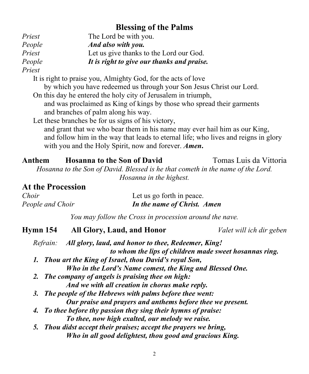## **Blessing of the Palms**

| Priest | The Lord be with you.                      |
|--------|--------------------------------------------|
| People | And also with you.                         |
| Priest | Let us give thanks to the Lord our God.    |
| People | It is right to give our thanks and praise. |
| Priest |                                            |

It is right to praise you, Almighty God, for the acts of love

by which you have redeemed us through your Son Jesus Christ our Lord. On this day he entered the holy city of Jerusalem in triumph,

and was proclaimed as King of kings by those who spread their garments and branches of palm along his way.

Let these branches be for us signs of his victory,

and grant that we who bear them in his name may ever hail him as our King, and follow him in the way that leads to eternal life; who lives and reigns in glory with you and the Holy Spirit, now and forever. *Amen***.**

| Anthem | <b>Hosanna to the Son of David</b>                                              | Tomas Luis da Vittoria |
|--------|---------------------------------------------------------------------------------|------------------------|
|        | Hosanna to the Son of David. Blessed is he that cometh in the name of the Lord. |                        |
|        | Hosanna in the highest.                                                         |                        |

#### **At the Procession**

| Choir            | Let us go forth in peace.   |
|------------------|-----------------------------|
| People and Choir | In the name of Christ. Amen |

*You may follow the Cross in procession around the nave.*

| Hymn 154 | All Glory, Laud, and Honor                                       | Valet will ich dir geben |
|----------|------------------------------------------------------------------|--------------------------|
| Refrain: | All glory, laud, and honor to thee, Redeemer, King!              |                          |
|          | to whom the lips of children made sweet hosannas ring.           |                          |
| 1.       | Thou art the King of Israel, thou David's royal Son,             |                          |
|          | Who in the Lord's Name comest, the King and Blessed One.         |                          |
|          | 2. The company of angels is praising thee on high:               |                          |
|          | And we with all creation in chorus make reply.                   |                          |
|          | 3. The people of the Hebrews with palms before thee went:        |                          |
|          | Our praise and prayers and anthems before thee we present.       |                          |
|          | 4. To thee before thy passion they sing their hymns of praise:   |                          |
|          | To thee, now high exalted, our melody we raise.                  |                          |
|          | 5. Thou didst accept their praises; accept the prayers we bring, |                          |
|          | Who in all good delightest, thou good and gracious King.         |                          |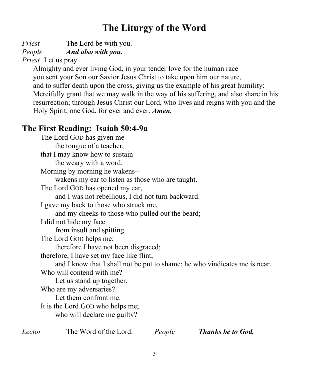## **The Liturgy of the Word**

*Priest* The Lord be with you.

*People And also with you.*

*Priest* Let us pray.

Almighty and ever living God, in your tender love for the human race you sent your Son our Savior Jesus Christ to take upon him our nature, and to suffer death upon the cross, giving us the example of his great humility: Mercifully grant that we may walk in the way of his suffering, and also share in his resurrection; through Jesus Christ our Lord, who lives and reigns with you and the Holy Spirit, one God, for ever and ever. *Amen.*

## **The First Reading: Isaiah 50:4-9a**

The Lord GOD has given me the tongue of a teacher, that I may know how to sustain the weary with a word. Morning by morning he wakens- wakens my ear to listen as those who are taught. The Lord GOD has opened my ear, and I was not rebellious, I did not turn backward. I gave my back to those who struck me, and my cheeks to those who pulled out the beard; I did not hide my face from insult and spitting. The Lord GOD helps me; therefore I have not been disgraced; therefore, I have set my face like flint, and I know that I shall not be put to shame; he who vindicates me is near. Who will contend with me? Let us stand up together. Who are my adversaries? Let them confront me. It is the Lord GOD who helps me; who will declare me guilty?

*Lector* The Word of the Lord. *People Thanks be to God.*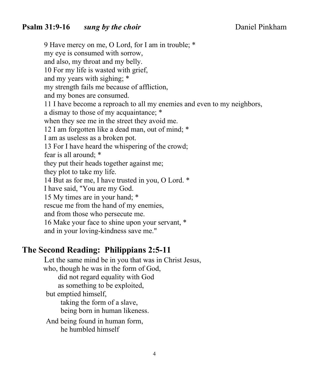9 Have mercy on me, O Lord, for I am in trouble; \* my eye is consumed with sorrow, and also, my throat and my belly. 10 For my life is wasted with grief, and my years with sighing; \* my strength fails me because of affliction, and my bones are consumed. 11 I have become a reproach to all my enemies and even to my neighbors, a dismay to those of my acquaintance; \* when they see me in the street they avoid me. 12 I am forgotten like a dead man, out of mind; \* I am as useless as a broken pot. 13 For I have heard the whispering of the crowd; fear is all around; \* they put their heads together against me; they plot to take my life. 14 But as for me, I have trusted in you, O Lord. \* I have said, "You are my God. 15 My times are in your hand; \* rescue me from the hand of my enemies, and from those who persecute me. 16 Make your face to shine upon your servant, \* and in your loving-kindness save me."

#### **The Second Reading: Philippians 2:5-11**

Let the same mind be in you that was in Christ Jesus, who, though he was in the form of God, did not regard equality with God as something to be exploited, but emptied himself, taking the form of a slave, being born in human likeness. And being found in human form,

he humbled himself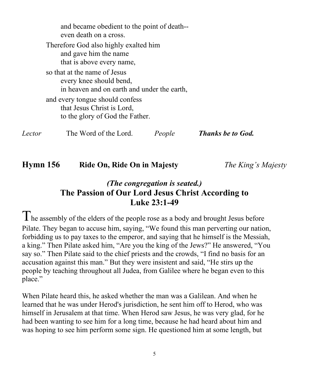|        | and became obedient to the point of death--<br>even death on a cross.<br>Therefore God also highly exalted him |        |                          |  |
|--------|----------------------------------------------------------------------------------------------------------------|--------|--------------------------|--|
|        | and gave him the name<br>that is above every name,                                                             |        |                          |  |
|        | so that at the name of Jesus<br>every knee should bend,<br>in heaven and on earth and under the earth,         |        |                          |  |
|        | and every tongue should confess<br>that Jesus Christ is Lord,<br>to the glory of God the Father.               |        |                          |  |
| Lector | The Word of the Lord.                                                                                          | People | <b>Thanks be to God.</b> |  |

**Hymn 156 Ride On, Ride On in Majesty** *The King's Majesty*

## *(The congregation is seated.)* **The Passion of Our Lord Jesus Christ According to Luke 23:1-49**

 $T$ he assembly of the elders of the people rose as a body and brought Jesus before Pilate. They began to accuse him, saying, "We found this man perverting our nation, forbidding us to pay taxes to the emperor, and saying that he himself is the Messiah, a king." Then Pilate asked him, "Are you the king of the Jews?" He answered, "You say so." Then Pilate said to the chief priests and the crowds, "I find no basis for an accusation against this man." But they were insistent and said, "He stirs up the people by teaching throughout all Judea, from Galilee where he began even to this place."

When Pilate heard this, he asked whether the man was a Galilean. And when he learned that he was under Herod's jurisdiction, he sent him off to Herod, who was himself in Jerusalem at that time. When Herod saw Jesus, he was very glad, for he had been wanting to see him for a long time, because he had heard about him and was hoping to see him perform some sign. He questioned him at some length, but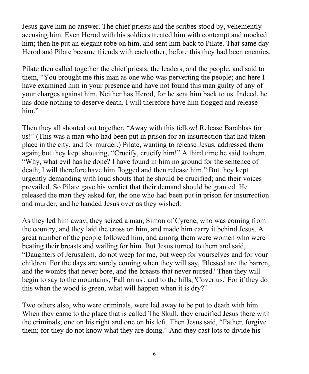Jesus gave him no answer. The chief priests and the scribes stood by, vehemently accusing him. Even Herod with his soldiers treated him with contempt and mocked him; then he put an elegant robe on him, and sent him back to Pilate. That same day Herod and Pilate became friends with each other; before this they had been enemies.

Pilate then called together the chief priests, the leaders, and the people, and said to them, "You brought me this man as one who was perverting the people; and here I have examined him in your presence and have not found this man guilty of any of your charges against him. Neither has Herod, for he sent him back to us. Indeed, he has done nothing to deserve death. I will therefore have him flogged and release him."

Then they all shouted out together, "Away with this fellow! Release Barabbas for us!" (This was a man who had been put in prison for an insurrection that had taken place in the city, and for murder.) Pilate, wanting to release Jesus, addressed them again; but they kept shouting, "Crucify, crucify him!" A third time he said to them, "Why, what evil has he done? I have found in him no ground for the sentence of death; I will therefore have him flogged and then release him." But they kept urgently demanding with loud shouts that he should be crucified; and their voices prevailed. So Pilate gave his verdict that their demand should be granted. He released the man they asked for, the one who had been put in prison for insurrection and murder, and he handed Jesus over as they wished.

As they led him away, they seized a man, Simon of Cyrene, who was coming from the country, and they laid the cross on him, and made him carry it behind Jesus. A great number of the people followed him, and among them were women who were beating their breasts and wailing for him. But Jesus turned to them and said, "Daughters of Jerusalem, do not weep for me, but weep for yourselves and for your children. For the days are surely coming when they will say, 'Blessed are the barren, and the wombs that never bore, and the breasts that never nursed.' Then they will begin to say to the mountains, 'Fall on us'; and to the hills, 'Cover us.' For if they do this when the wood is green, what will happen when it is dry?"

Two others also, who were criminals, were led away to be put to death with him. When they came to the place that is called The Skull, they crucified Jesus there with the criminals, one on his right and one on his left. Then Jesus said, "Father, forgive them; for they do not know what they are doing." And they cast lots to divide his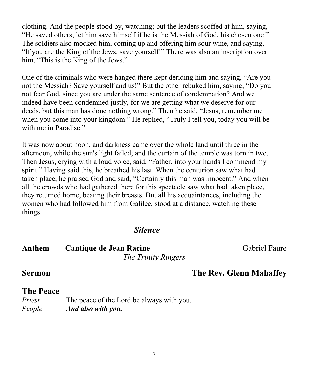clothing. And the people stood by, watching; but the leaders scoffed at him, saying, "He saved others; let him save himself if he is the Messiah of God, his chosen one!" The soldiers also mocked him, coming up and offering him sour wine, and saying, "If you are the King of the Jews, save yourself!" There was also an inscription over him, "This is the King of the Jews."

One of the criminals who were hanged there kept deriding him and saying, "Are you not the Messiah? Save yourself and us!" But the other rebuked him, saying, "Do you not fear God, since you are under the same sentence of condemnation? And we indeed have been condemned justly, for we are getting what we deserve for our deeds, but this man has done nothing wrong." Then he said, "Jesus, remember me when you come into your kingdom." He replied, "Truly I tell you, today you will be with me in Paradise."

It was now about noon, and darkness came over the whole land until three in the afternoon, while the sun's light failed; and the curtain of the temple was torn in two. Then Jesus, crying with a loud voice, said, "Father, into your hands I commend my spirit." Having said this, he breathed his last. When the centurion saw what had taken place, he praised God and said, "Certainly this man was innocent." And when all the crowds who had gathered there for this spectacle saw what had taken place, they returned home, beating their breasts. But all his acquaintances, including the women who had followed him from Galilee, stood at a distance, watching these things.

#### *Silence*

## Anthem Cantique de Jean Racine **Cantique de Jean Racine** Gabriel Faure *The Trinity Ringers*

## **Sermon The Rev. Glenn Mahaffey**

#### **The Peace**

*Priest* The peace of the Lord be always with you. *People And also with you.*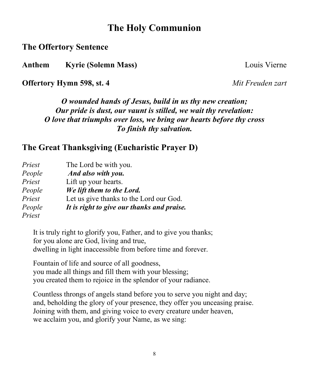## **The Holy Communion**

#### **The Offertory Sentence**

**Anthem Kyrie (Solemn Mass)** Louis Vierne

**Offertory Hymn 598, st. 4** *Mit Freuden zart*

*O wounded hands of Jesus, build in us thy new creation; Our pride is dust, our vaunt is stilled, we wait thy revelation: O love that triumphs over loss, we bring our hearts before thy cross To finish thy salvation.*

## **The Great Thanksgiving (Eucharistic Prayer D)**

| Priest | The Lord be with you.                      |
|--------|--------------------------------------------|
| People | And also with you.                         |
| Priest | Lift up your hearts.                       |
| People | We lift them to the Lord.                  |
| Priest | Let us give thanks to the Lord our God.    |
| People | It is right to give our thanks and praise. |
| Priest |                                            |

It is truly right to glorify you, Father, and to give you thanks; for you alone are God, living and true, dwelling in light inaccessible from before time and forever.

Fountain of life and source of all goodness, you made all things and fill them with your blessing; you created them to rejoice in the splendor of your radiance.

Countless throngs of angels stand before you to serve you night and day; and, beholding the glory of your presence, they offer you unceasing praise. Joining with them, and giving voice to every creature under heaven, we acclaim you, and glorify your Name, as we sing: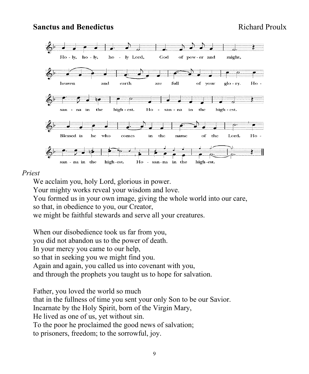#### **Sanctus and Benedictus Richard Proulx**



#### *Priest*

We acclaim you, holy Lord, glorious in power.

Your mighty works reveal your wisdom and love.

You formed us in your own image, giving the whole world into our care,

so that, in obedience to you, our Creator,

we might be faithful stewards and serve all your creatures.

When our disobedience took us far from you, you did not abandon us to the power of death. In your mercy you came to our help, so that in seeking you we might find you. Again and again, you called us into covenant with you, and through the prophets you taught us to hope for salvation.

Father, you loved the world so much that in the fullness of time you sent your only Son to be our Savior. Incarnate by the Holy Spirit, born of the Virgin Mary, He lived as one of us, yet without sin. To the poor he proclaimed the good news of salvation; to prisoners, freedom; to the sorrowful, joy.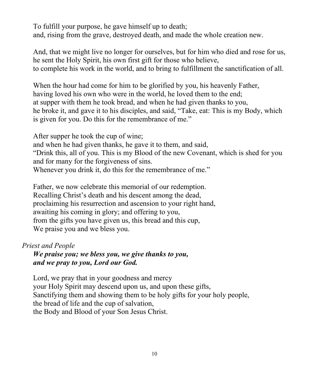To fulfill your purpose, he gave himself up to death; and, rising from the grave, destroyed death, and made the whole creation new.

And, that we might live no longer for ourselves, but for him who died and rose for us, he sent the Holy Spirit, his own first gift for those who believe, to complete his work in the world, and to bring to fulfillment the sanctification of all.

When the hour had come for him to be glorified by you, his heavenly Father, having loved his own who were in the world, he loved them to the end; at supper with them he took bread, and when he had given thanks to you, he broke it, and gave it to his disciples, and said, "Take, eat: This is my Body, which is given for you. Do this for the remembrance of me."

After supper he took the cup of wine; and when he had given thanks, he gave it to them, and said, "Drink this, all of you. This is my Blood of the new Covenant, which is shed for you and for many for the forgiveness of sins. Whenever you drink it, do this for the remembrance of me."

Father, we now celebrate this memorial of our redemption. Recalling Christ's death and his descent among the dead, proclaiming his resurrection and ascension to your right hand, awaiting his coming in glory; and offering to you, from the gifts you have given us, this bread and this cup, We praise you and we bless you.

*Priest and People*

*We praise you; we bless you, we give thanks to you, and we pray to you, Lord our God.*

Lord, we pray that in your goodness and mercy your Holy Spirit may descend upon us, and upon these gifts, Sanctifying them and showing them to be holy gifts for your holy people, the bread of life and the cup of salvation, the Body and Blood of your Son Jesus Christ.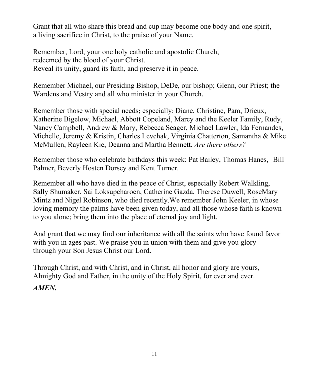Grant that all who share this bread and cup may become one body and one spirit, a living sacrifice in Christ, to the praise of your Name.

Remember, Lord, your one holy catholic and apostolic Church, redeemed by the blood of your Christ. Reveal its unity, guard its faith, and preserve it in peace.

Remember Michael, our Presiding Bishop, DeDe, our bishop; Glenn, our Priest; the Wardens and Vestry and all who minister in your Church.

Remember those with special needs**;** especially: Diane, Christine, Pam, Drieux, Katherine Bigelow, Michael, Abbott Copeland, Marcy and the Keeler Family, Rudy, Nancy Campbell, Andrew & Mary, Rebecca Seager, Michael Lawler, Ida Fernandes, Michelle, Jeremy & Kristin, Charles Levchak, Virginia Chatterton, Samantha & Mike McMullen, Rayleen Kie, Deanna and Martha Bennett. *Are there others?* 

Remember those who celebrate birthdays this week: Pat Bailey, Thomas Hanes, Bill Palmer, Beverly Hosten Dorsey and Kent Turner.

Remember all who have died in the peace of Christ, especially Robert Walkling, Sally Shumaker, Sai Loksupcharoen, Catherine Gazda, Therese Duwell, RoseMary Mintz and Nigel Robinson, who died recently.We remember John Keeler, in whose loving memory the palms have been given today, and all those whose faith is known to you alone; bring them into the place of eternal joy and light.

And grant that we may find our inheritance with all the saints who have found favor with you in ages past. We praise you in union with them and give you glory through your Son Jesus Christ our Lord.

Through Christ, and with Christ, and in Christ, all honor and glory are yours, Almighty God and Father, in the unity of the Holy Spirit, for ever and ever.

*AMEN***.**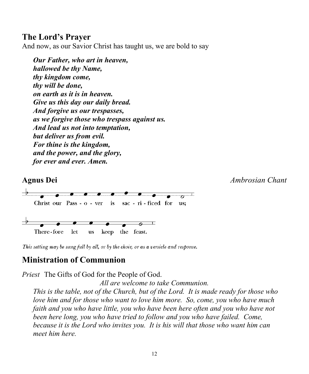## **The Lord's Prayer**

And now, as our Savior Christ has taught us, we are bold to say

*Our Father, who art in heaven, hallowed be thy Name, thy kingdom come, thy will be done, on earth as it is in heaven. Give us this day our daily bread. And forgive us our trespasses, as we forgive those who trespass against us. And lead us not into temptation, but deliver us from evil. For thine is the kingdom, and the power, and the glory, for ever and ever. Amen.*



This setting may be sung full by all, or by the choir, or as a versicle and response.

#### **Ministration of Communion**

*Priest* The Gifts of God for the People of God.

*All are welcome to take Communion.*

*This is the table, not of the Church, but of the Lord. It is made ready for those who love him and for those who want to love him more. So, come, you who have much faith and you who have little, you who have been here often and you who have not been here long, you who have tried to follow and you who have failed. Come, because it is the Lord who invites you. It is his will that those who want him can meet him here.*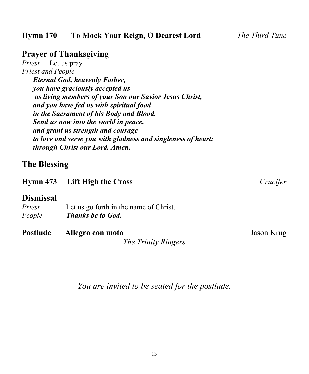#### **Prayer of Thanksgiving**

*Priest* Let us pray *Priest and People Eternal God, heavenly Father, you have graciously accepted us as living members of your Son our Savior Jesus Christ, and you have fed us with spiritual food in the Sacrament of his Body and Blood. Send us now into the world in peace, and grant us strength and courage to love and serve you with gladness and singleness of heart; through Christ our Lord. Amen.*

#### **The Blessing**

|                                      | Hymn 473 Lift High the Cross                                       | Crucifer   |
|--------------------------------------|--------------------------------------------------------------------|------------|
| <b>Dismissal</b><br>Priest<br>People | Let us go forth in the name of Christ.<br><b>Thanks be to God.</b> |            |
| Postlude                             | Allegro con moto<br>The Trinity Ringers                            | Jason Krug |

*You are invited to be seated for the postlude.*

13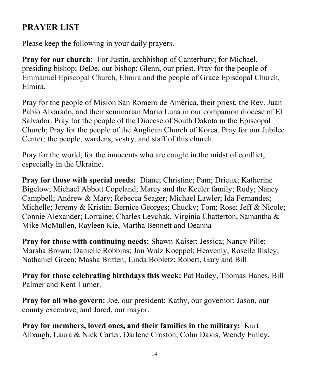## **PRAYER LIST**

Please keep the following in your daily prayers.

**Pray for our church:** For Justin, archbishop of Canterbury; for Michael, presiding bishop; DeDe, our bishop; Glenn, our priest. Pray for the people of Emmanuel Episcopal Church, Elmira and the people of Grace Episcopal Church, Elmira.

Pray for the people of Misión San Romero de América, their priest, the Rev. Juan Pablo Alvarado, and their seminarian Mario Luna in our companion diocese of El Salvador. Pray for the people of the Diocese of South Dakota in the Episcopal Church; Pray for the people of the Anglican Church of Korea. Pray for our Jubilee Center; the people, wardens, vestry, and staff of this church.

Pray for the world, for the innocents who are caught in the midst of conflict, especially in the Ukraine.

**Pray for those with special needs:** Diane; Christine; Pam; Drieux; Katherine Bigelow; Michael Abbott Copeland; Marcy and the Keeler family; Rudy; Nancy Campbell; Andrew & Mary; Rebecca Seager; Michael Lawler; Ida Fernandes; Michelle; Jeremy & Kristin; Bernice Georges; Chucky; Tom; Rose; Jeff & Nicole; Connie Alexander; Lorraine; Charles Levchak, Virginia Chatterton, Samantha & Mike McMullen, Rayleen Kie, Martha Bennett and Deanna

**Pray for those with continuing needs:** Shawn Kaiser; Jessica; Nancy Pille; Marsha Brown; Danielle Robbins; Jon Walz Koeppel; Heavenly, Roselle Illsley; Nathaniel Green; Masha Britten; Linda Bobletz; Robert, Gary and Bill

**Pray for those celebrating birthdays this week: Pat Bailey, Thomas Hanes, Bill** Palmer and Kent Turner.

**Pray for all who govern:** Joe, our president; Kathy, our governor; Jason, our county executive, and Jared, our mayor.

**Pray for members, loved ones, and their families in the military:** Kurt Albaugh, Laura & Nick Carter, Darlene Croston, Colin Davis, Wendy Finley,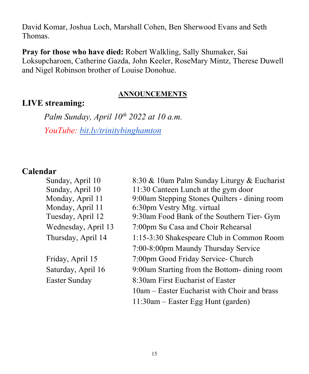David Komar, Joshua Loch, Marshall Cohen, Ben Sherwood Evans and Seth Thomas.

**Pray for those who have died:** Robert Walkling, Sally Shumaker, Sai Loksupcharoen, Catherine Gazda, John Keeler, RoseMary Mintz, Therese Duwell and Nigel Robinson brother of Louise Donohue.

#### **ANNOUNCEMENTS**

#### **LIVE streaming:**

*Palm Sunday, April 10th 2022 at 10 a.m. YouTube: [bit.ly/trinitybinghamton](https://www.youtube.com/c/TrinityMemorialEpiscopalChurch)*

#### **Calendar**

Sunday, April 10 8:30 & 10am Palm Sunday Liturgy & Eucharist Sunday, April 10 11:30 Canteen Lunch at the gym door Monday, April 11 9:00am Stepping Stones Quilters - dining room Monday, April 11 6:30pm Vestry Mtg. virtual Tuesday, April 12 9:30am Food Bank of the Southern Tier- Gym Wednesday, April 13 7:00pm Su Casa and Choir Rehearsal Thursday, April 14 1:15-3:30 Shakespeare Club in Common Room 7:00-8:00pm Maundy Thursday Service Friday, April 15 7:00pm Good Friday Service- Church Saturday, April 16 9:00am Starting from the Bottom- dining room Easter Sunday 8:30am First Eucharist of Easter 10am – Easter Eucharist with Choir and brass 11:30am – Easter Egg Hunt (garden)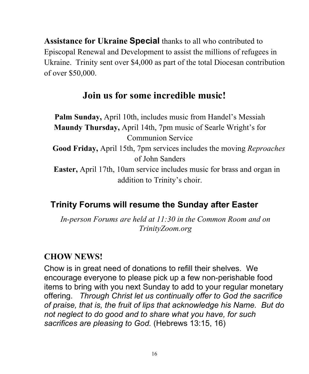**Assistance for Ukraine Special** thanks to all who contributed to Episcopal Renewal and Development to assist the millions of refugees in Ukraine. Trinity sent over \$4,000 as part of the total Diocesan contribution of over \$50,000.

## **Join us for some incredible music!**

**Palm Sunday,** April 10th, includes music from Handel's Messiah **Maundy Thursday,** April 14th, 7pm music of Searle Wright's for Communion Service  **Good Friday,** April 15th, 7pm services includes the moving *Reproaches*  of John Sanders  **Easter,** April 17th, 10am service includes music for brass and organ in addition to Trinity's choir.

## **Trinity Forums will resume the Sunday after Easter**

*In-person Forums are held at 11:30 in the Common Room and on TrinityZoom.org* 

#### **CHOW NEWS!**

Chow is in great need of donations to refill their shelves. We encourage everyone to please pick up a few non-perishable food items to bring with you next Sunday to add to your regular monetary offering. *Through Christ let us continually offer to God the sacrifice of praise, that is, the fruit of lips that acknowledge his Name. But do not neglect to do good and to share what you have, for such sacrifices are pleasing to God.* (Hebrews 13:15, 16)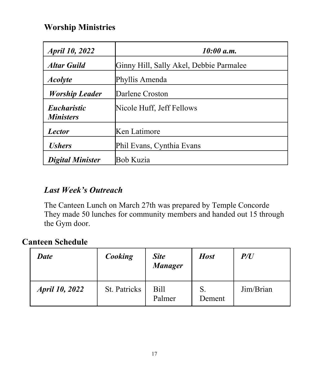## **Worship Ministries**

| <i>April 10, 2022</i>                  | $10:00$ a.m.                            |  |
|----------------------------------------|-----------------------------------------|--|
| <b>Altar Guild</b>                     | Ginny Hill, Sally Akel, Debbie Parmalee |  |
| <b>Acolyte</b>                         | Phyllis Amenda                          |  |
| <b>Worship Leader</b>                  | Darlene Croston                         |  |
| <b>Eucharistic</b><br><b>Ministers</b> | Nicole Huff, Jeff Fellows               |  |
| <b>Lector</b>                          | Ken Latimore                            |  |
| <b>Ushers</b>                          | Phil Evans, Cynthia Evans               |  |
| <b>Digital Minister</b>                | Bob Kuzia                               |  |

## *Last Week's Outreach*

The Canteen Lunch on March 27th was prepared by Temple Concorde They made 50 lunches for community members and handed out 15 through the Gym door.

## **Canteen Schedule**

| <b>Date</b>           | Cooking      | <b>Site</b><br><b>Manager</b> | <b>Host</b>  | P/U       |
|-----------------------|--------------|-------------------------------|--------------|-----------|
| <i>April 10, 2022</i> | St. Patricks | <b>Bill</b><br>Palmer         | S.<br>Dement | Jim/Brian |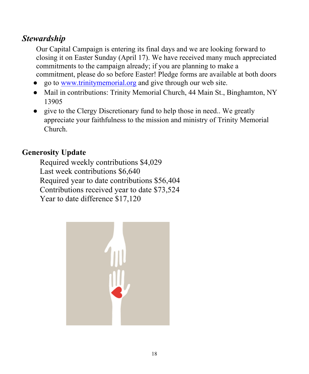## *Stewardship*

Our Capital Campaign is entering its final days and we are looking forward to closing it on Easter Sunday (April 17). We have received many much appreciated commitments to the campaign already; if you are planning to make a commitment, please do so before Easter! Pledge forms are available at both doors

- go to www.trinitymemorial.org and give through our web site.
- Mail in contributions: Trinity Memorial Church, 44 Main St., Binghamton, NY 13905
- give to the Clergy Discretionary fund to help those in need.. We greatly appreciate your faithfulness to the mission and ministry of Trinity Memorial Church.

## **Generosity Update**

Required weekly contributions \$4,029 Last week contributions \$6,640 Required year to date contributions \$56,404 Contributions received year to date \$73,524 Year to date difference \$17,120

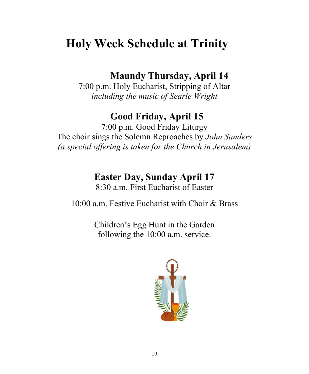# **Holy Week Schedule at Trinity**

## **Maundy Thursday, April 14**

7:00 p.m. Holy Eucharist, Stripping of Altar *including the music of Searle Wright*

## **Good Friday, April 15**

7:00 p.m. Good Friday Liturgy The choir sings the Solemn Reproaches by *John Sanders (a special offering is taken for the Church in Jerusalem)* 

## **Easter Day, Sunday April 17**

8:30 a.m. First Eucharist of Easter

10:00 a.m. Festive Eucharist with Choir & Brass

Children's Egg Hunt in the Garden following the 10:00 a.m. service.